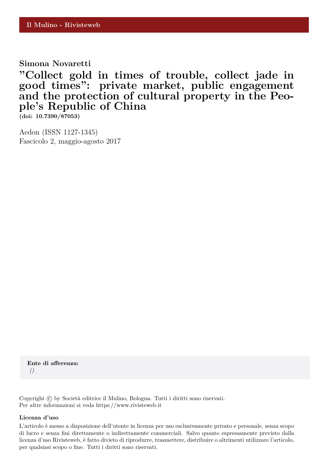# **Simona Novaretti**

**"Collect gold in times of trouble, collect jade in good times": private market, public engagement and the protection of cultural property in the People's Republic of China**

**(doi: 10.7390/87053)**

Aedon (ISSN 1127-1345) Fascicolo 2, maggio-agosto 2017

**Ente di afferenza:** *()*

Copyright © by Società editrice il Mulino, Bologna. Tutti i diritti sono riservati. Per altre informazioni si veda https://www.rivisteweb.it

#### **Licenza d'uso**

L'articolo è messo a disposizione dell'utente in licenza per uso esclusivamente privato e personale, senza scopo di lucro e senza fini direttamente o indirettamente commerciali. Salvo quanto espressamente previsto dalla licenza d'uso Rivisteweb, è fatto divieto di riprodurre, trasmettere, distribuire o altrimenti utilizzare l'articolo, per qualsiasi scopo o fine. Tutti i diritti sono riservati.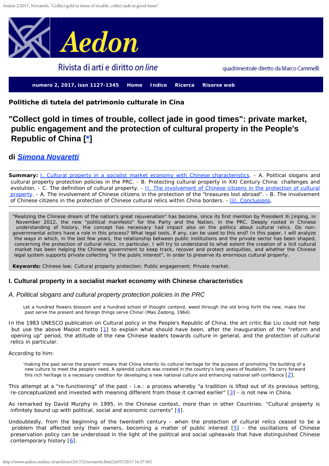<span id="page-1-0"></span>

<span id="page-1-8"></span>**Politiche di tutela del patrimonio culturale in Cina**

# **"Collect gold in times of trouble, collect jade in good times": private market, public engagement and the protection of cultural property in the People's Republic of China [[\\*\]](#page-8-0)**

## <span id="page-1-1"></span>**di** *[Simona Novaretti](http://www.aedon.mulino.it/archivio/2017/2/autor217.htm)*

**Summary:** J. Cultural property in a socialist market economy with Chinese characteristics. - A. Political slogans and cultural property protection policies in the PRC. - B. Protecting cultural property in XXI Century China: challenges and evolution. - C. The definition of cultural property. - [II. The involvement of Chinese citizens in the protection of cultural](#page-1-0)  [property.](#page-1-0) - A. The involvement of Chinese citizens in the protection of the "treasures lost abroad". - B. The involvement of Chinese citizens in the protection of Chinese cultural relics within China borders. - [III. Conclusions](#page-1-0).

"Realizing the Chinese dream of the nation's great rejuvenation" has become, since its first mention by President Xi Jinping, in November 2012, the new "political manifesto" for the Party and the Nation, in the PRC. Deeply rooted in Chinese understanding of history, the concept has necessary had impact also on the politics about cultural relics. Do nongovernmental actors have a role in this process? What legal tools, if any, can be used to this end? In this paper, I will analyze the ways in which, in the last few years, the relationship between public institutions and the private sector has been shaped, concerning the protection of cultural relics. In particular, I will try to understand to what extent the creation of a licit cultural market has been helping the Chinese government to keep track, recover and protect antiquities, and whether the Chinese legal system supports private collecting "in the public interest", in order to preserve its enormous cultural property.

**Keywords:** Chinese law; Cultural property protection; Public engagement; Private market.

## **I. Cultural property in a socialist market economy with Chinese characteristics**

## *A. Political slogans and cultural property protection policies in the PRC*

Let a hundred flowers blossom and a hundred school of thought contend, weed through the old bring forth the new, make the past serve the present and foreign things serve China! (Mao Zedong, 1964).

<span id="page-1-2"></span>In the 1983 UNESCO publication on *Cultural policy in the People's Republic of China*, the art critic Bai Liu could not help but use the above Maoist motto [\[1](#page-8-1)] to explain what should have been, after the inauguration of the "reform and opening up" period, the attitude of the new Chinese leaders towards culture in general, and the protection of cultural relics in particular.

According to him:

'making the past serve the present' means that China inherits its cultural heritage for the purpose of promoting the building of a new culture to meet the people's need. A splendid culture was created in the country's long years of feudalism. To carry forward this rich heritage is a necessary condition for developing a new national culture and enhancing national self-confidence  $[2]$  $[2]$ .

<span id="page-1-4"></span><span id="page-1-3"></span>This attempt at a "re-functioning" of the past - i.e.: a process whereby "a tradition is lifted out of its previous setting, re-conceptualized and invested with meaning different from those it carried earlier" [\[3](#page-8-3)] - is not new in China.

<span id="page-1-5"></span>As remarked by David Murphy in 1995, in the Chinese context, more than in other Countries: "Cultural property is infinitely bound up with political, social and economic currents" [\[4](#page-8-4)].

<span id="page-1-7"></span><span id="page-1-6"></span>Undoubtedly, from the beginning of the twentieth century - when the protection of cultural relics ceased to be a problem that affected only their owners, becoming a matter of public interest [\[5](#page-8-5)] - the oscillations of Chinese preservation policy can be understood in the light of the political and social upheavals that have distinguished Chinese contemporary history  $[6]$  $[6]$ .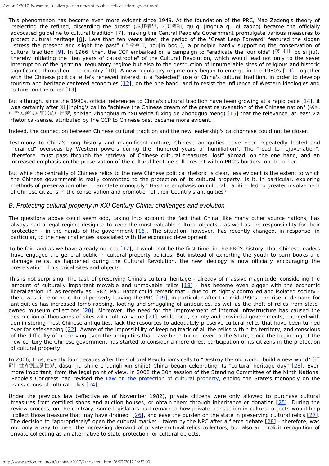- <span id="page-2-2"></span><span id="page-2-1"></span><span id="page-2-0"></span>This phenomenon has become even more evident since 1949. At the foundation of the PRC, Mao Zedong's theory of "selecting the refined, discarding the dross" (取其精华,去其糟粕*, qu qi jinghua qu qi zaopo)* became the officially advocated guideline to cultural tradition [\[7](#page-9-0)], making the Central People's Government promulgate various measures to protect cultural heritage [\[8\]](#page-9-1). Less than ten years later, the period of the "Great Leap Forward" featured the slogan "stress the present and slight the past" (厚今薄古*, houjin bogu*), a principle hardly supporting the conservation of cultural tradition [[9\]](#page-9-2). In 1966, then, the CCP embarked on a campaign to "eradicate the four olds" (破四旧, *po si jiu)*, thereby initiating the "ten years of catastrophe" of the Cultural Revolution, which would lead not only to the sever interruption of the germinal regulatory regime but also to the destruction of innumerable sites of religious and historic significance throughout the country [\[10](#page-9-3)]. A new regulatory regime only began to emerge in the 1980's [\[11](#page-9-4)], together with the Chinese political elite's renewed interest in a "selected" use of China's cultural tradition, in order to develop tourism and heritage centered economies [\[12](#page-9-5)], on the one hand, and to resist the influence of Western ideologies and culture, on the other  $[13]$  $[13]$ .
- <span id="page-2-7"></span><span id="page-2-6"></span><span id="page-2-5"></span><span id="page-2-4"></span><span id="page-2-3"></span>But although, since the 1990s, official references to China's cultural tradition have been growing at a rapid pace [\[14](#page-9-7)], it was certainly after Xi Jinping's call to "achieve the Chinese dream of the great rejuvenation of the Chinese nation" (实现 中华民族伟大复兴的中国梦, *shixian Zhonghua minxu weida fuxing de Zhongguo meng*) [\[15](#page-9-8)] that the relevance, at least via rhetorical-sense, attributed by the CCP to Chinese past became more evident.

Indeed, the connection between Chinese cultural tradition and the new leadership's catchphrase could not be closer.

- Testimony to China's long history and magnificent culture, Chinese antiquities have been repeatedly looted and "drained" overseas by Western powers during the "hundred years of humiliation". The "road to rejuvenation", therefore, must pass through the retrieval of Chinese cultural treasures "lost" abroad, on the one hand, and an increased emphasis on the preservation of the cultural heritage still present within PRC's borders, on the other.
- But while the centrality of Chinese relics to the new Chinese political rhetoric is clear, less evident is the extent to which the Chinese government is really committed to the protection of its cultural property. Is it, in particular, exploring methods of preservation other than state monopoly? Has the emphasis on cultural tradition led to greater involvement of Chinese citizens in the conservation and promotion of their Country's antiquities?

#### *B. Protecting cultural property in XXI Century China: challenges and evolution*

- <span id="page-2-8"></span>The questions above could seem odd, taking into account the fact that China, like many other source nations, has always had a legal regime designed to keep the most valuable cultural objects - as well as the responsibility for their protection - in the hands of the government  $[16]$  $[16]$  $[16]$ . The situation, however, has recently changed, in response, in particular, to the new challenges associated with the economic development.
- <span id="page-2-9"></span>To be fair, and as we have already noticed [\[17](#page-9-10)], it would not be the first time, in the PRC's history, that Chinese leaders have engaged the general public in cultural property policies. But instead of exhorting the youth to burn books and damage relics, as happened during the Cultural Revolution, the new ideology is now officially encouraging the preservation of historical sites and objects.
- <span id="page-2-13"></span><span id="page-2-12"></span><span id="page-2-11"></span><span id="page-2-10"></span>This is not surprising. The task of preserving China's cultural heritage - already of massive magnitude, considering the amount of culturally important movable and unmovable relics [\[18](#page-9-11)] - has become even bigger with the economic liberalization. If, as recently as 1982, Paul Bator could remark that - due to its tightly controlled and isolated society - there was little or no cultural property leaving the PRC [[19](#page-9-12)], in particular after the mid-1990s, the rise in demand for antiquities has increased tomb robbing, looting and smuggling of antiquities, as well as the theft of relics from stateowned museum collections [\[20](#page-9-13)]. Moreover, the need for the improvement of internal infrastructure has caused the destruction of thousands of sites with cultural value  $[21]$  $[21]$ , while local, county and provincial governments, charged with administering most Chinese antiquities, lack the resources to adequately preserve cultural relics that have been turned over for safekeeping [\[22](#page-9-15)]. Aware of the impossibility of keeping track of all the relics within its territory, and conscious of the difficulty of preserving even the antiquities that have been turned over to the State, since the beginning of the new century the Chinese government has started to consider a more direct participation of its citizens in the protection of cultural property.
- <span id="page-2-15"></span><span id="page-2-14"></span>In 2006, thus, exactly four decades after the Cultural Revolution's calls to "Destroy the old world; build a new world" (打 碎旧世界创立新世界, *dasui jiu shijie chuangli xin shijie*) China began celebrating its "cultural heritage day" [\[23](#page-9-16)]. Even more important, from the legal point of view, in 2002 the 30h session of the Standing Committee of the Ninth National People's Congress had revised the *[Law on the protection of cultural property](http://www.unesco.org/culture/natlaws/media/pdf/china/china_lawprotectionclt_entof)*, ending the State's monopoly on the transactions of cultural relics [\[24](#page-9-17)].
- <span id="page-2-19"></span><span id="page-2-18"></span><span id="page-2-17"></span><span id="page-2-16"></span>Under the previous law (effective as of November 1982), private citizens were only allowed to purchase cultural treasures from certified shops and auction houses, or obtain them through inheritance or donation [\[25](#page-9-18)]. During the review process, on the contrary, some legislators had remarked how private transaction in cultural objects would help "collect those treasure that may have drained"  $[26]$  $[26]$  $[26]$ , and ease the burden on the state in preserving cultural relics  $[27]$  $[27]$ . The decision to "appropriately" open the cultural market - taken by the NPC after a fierce debate [\[28](#page-9-21)] - therefore, was not only a way to meet the increasing demand of private cultural relics collectors, but also an implicit recognition of private collecting as an alternative to state protection for cultural objects.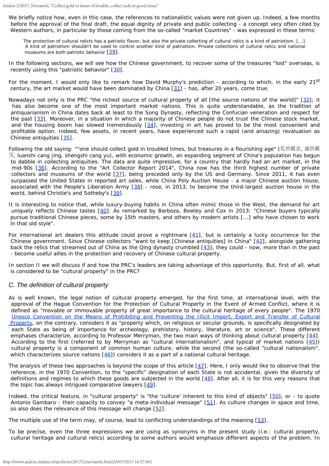We briefly notice how, even in this case, the references to nationalistic values were not given up. Indeed, a few months before the approval of the final draft, the equal dignity of private and public collecting - a concept very often cited by Western authors, in particular by those coming from the so-called "market Countries" - was expressed in these terms:

The protection of cultural relicts has a patriotic flavor, but also the private collecting of cultural relics is a kind of patriotism. [...] A kind of patriotism shouldn't be used to control another kind of patriotism. Private collections of cultural relics and national museums are both patriotic behavior  $[29]$  $[29]$ .

- <span id="page-3-1"></span><span id="page-3-0"></span>In the following sections, we will see how the Chinese government, to recover some of the treasures "lost" overseas, is recently using this "patriotic behavior" [\[30](#page-9-23)].
- <span id="page-3-2"></span>For the moment, I would only like to remark how David Murphy's prediction - according to which, in the early 21<sup>st</sup> century, the art market would have been dominated by China [\[31](#page-9-24)] - has, after 20 years, come true.
- <span id="page-3-4"></span><span id="page-3-3"></span>Nowadays not only is the PRC "the richest source of cultural property of all [the source nations of the world]" [\[32](#page-10-0)]; it has also become one of the most important market nations. This is quite understandable, as the tradition of antiquarianism in China dates back at least to the Song Dynasty, reflecting the Confucian veneration and respect for the past [\[33](#page-10-1)]. Moreover, in a situation in which a majority of Chinese people do not trust the Chinese stock market, and the housing boom has slowed tremendously  $[34]$  $[34]$  $[34]$ , investing in art has proved to be the most convenient and profitable option. Indeed, few assets, in recent years, have experienced such a rapid (and amazing) revaluation as Chinese antiquities [\[35](#page-10-3)].
- <span id="page-3-8"></span><span id="page-3-7"></span><span id="page-3-6"></span><span id="page-3-5"></span>Following the old saying: ""one should collect gold in troubled times, but treasures in a flourishing age" (乱世藏金, 盛世藏 宝, *luanshi cang jing, shengshi cang yu*), with economic growth, an expanding segment of China's population has begun to dabble in collecting antiquities. The data are quite impressive, for a country that hardly had an art market, in the mid-90s [\[36](#page-10-4)]. According to the "Art Collector Report 2014", China now has the third highest number of private collectors and museums of the world  $[37]$  $[37]$ , being preceded only by the US and Germany. Since 2011, it has even surpassed the United States in reported art sales, while China Poly Auction House - a major Chinese auction house, associated with the People's Liberation Army [\[38](#page-10-6)] - rose, in 2013, to become the third-largest auction house in the world, behind Christie's and Sotheby's [\[39](#page-10-7)].
- <span id="page-3-11"></span><span id="page-3-10"></span><span id="page-3-9"></span>It is interesting to notice that, while luxury-buying habits in China often mimic those in the West, the demand for art uniquely reflects Chinese tastes [\[40](#page-10-8)]. As remarked by Barboza, Bowley and Cox in 2013: "Chinese buyers typically pursue traditional Chinese pieces, some by 15th masters, and others by modern artists [...] who have chosen to work in that old style".
- <span id="page-3-14"></span><span id="page-3-13"></span><span id="page-3-12"></span>For international art dealers this attitude could prove a nightmare  $[41]$  $[41]$ , but is certainly a lucky occurrence for the Chinese government. Since Chinese collectors "want to keep [Chinese antiquities] in China" [\[42](#page-10-10)], alongside gathering back the relics that streamed out of China as the Qing dynasty crumbled [\[43](#page-10-11)], they could - now, more than in the past - become useful allies in the protection and recovery of Chinese cultural property.
- In section II we will discuss if and how the PRC's leaders are taking advantage of this opportunity. But, first of all, what is considered to be "cultural property" in the PRC?

## *C. The definition of cultural property*

- As is well known, the legal notion of cultural property emerged, for the first time, at international level, with the approval of the Hague Convention for the Protection of Cultural Property in the Event of Armed Conflict, where it is defined as "movable or immovable property of great importance to the cultural heritage of every people". The 1970 [Unesco](http://www.unesco.org/new/en/culture/themes/illicit-trafficking-of-cultural-property/1970-convention/text-of-the-convention/) *[Convention on the Means of Prohibiting and](http://www.unesco.org/new/en/culture/themes/illicit-trafficking-of-cultural-property/1970-convention/text-of-the-convention/) [Preventing the Illicit Import, Export and Transfer of Cultural](http://www.unesco.org/new/en/culture/themes/illicit-trafficking-of-cultural-property/1970-convention/text-of-the-convention/)  [Property](http://www.unesco.org/new/en/culture/themes/illicit-trafficking-of-cultural-property/1970-convention/text-of-the-convention/)*, on the contrary, considers it as "property which, on religious or secular grounds, is specifically designated by each State as being of importance for archeology, prehistory, history, literature, art or science". These different emphases characterize, according to Professor Merryman, the two main ways of thinking about cultural property [\[44](#page-10-12)]. According to the first (referred to by Merryman as "cultural internationalism", and typical of market nations [\[45](#page-10-13)]) cultural property is a component of common human culture, while the second (the so-called "cultural nationalism", which characterizes source nations  $[46]$  $[46]$ ) considers it as a part of a national cultural heritage.
- <span id="page-3-19"></span><span id="page-3-18"></span><span id="page-3-17"></span><span id="page-3-16"></span><span id="page-3-15"></span>The analysis of these two approaches is beyond the scope of this article  $[47]$  $[47]$ . Here, I only would like to observe that the reference, in the 1970 Convention, to the "specific" designation of each State is not accidental, given the diversity of definitions and regimes to which these goods are subjected in the world  $[48]$  $[48]$ . After all, it is for this very reasons that the topic has always intrigued comparative lawyers  $[49]$  $[49]$ .
- <span id="page-3-22"></span><span id="page-3-21"></span><span id="page-3-20"></span>Indeed, the critical feature, in "cultural property" is "the 'culture' inherent to this kind of objects" [\[50](#page-10-18)], or - to quote Antonio Gambaro - their capacity to convey "a meta-individual message" [\[51](#page-10-19)]. As culture changes in space and time, so also does the relevance of this message will change [\[52](#page-10-20)].

<span id="page-3-24"></span><span id="page-3-23"></span>The multiple use of the term may, of course, lead to conflicting understandings of the meaning [\[53](#page-10-21)].

To be precise, even the three expressions we are using as synonyms in the present study (i.e.: cultural property, cultural heritage and cultural relics) according to some authors would emphasize different aspects of the problem. In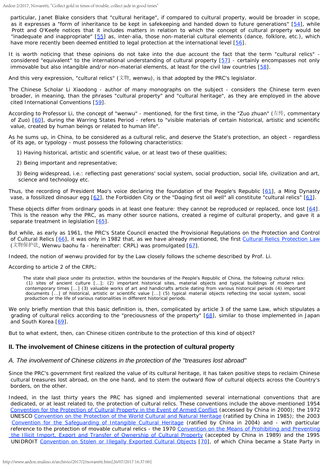<span id="page-4-0"></span>particular, Janet Blake considers that "cultural heritage", if compared to cultural property, would be broader in scope, as it expresses a "form of inheritance to be kept in safekeeping and handed down to future generations" [\[54](#page-10-22)], while Prott and O'Keefe notices that it includes matters in relation to which the concept of cultural property would be "inadequate and inappropriate" [\[55](#page-10-23)] as, inter-alia, those non-material cultural elements (dance, folklore, etc.), which have more recently been deemed entitled to legal protection at the international level [\[56](#page-10-24)].

<span id="page-4-3"></span><span id="page-4-2"></span><span id="page-4-1"></span>It is worth noticing that these opinions do not take into the due account the fact that the term "cultural relics" considered "equivalent" to the international understanding of cultural property [\[57](#page-10-25)] - certainly encompasses not only immovable but also intangible and/or non-material elements, at least for the civil law countries [\[58](#page-10-26)].

<span id="page-4-4"></span>And this very expression, "cultural relics"  $(\dot{\mathbb{X}}^{\sharp\!\circ\!\circ},$  wenwu), is that adopted by the PRC's legislator.

The Chinese Scholar Li Xiaodong - author of many monographs on the subject - considers the Chinese term even broader, in meaning, than the phrases "cultural property" and "cultural heritage", as they are employed in the above cited International Conventions [\[59](#page-11-0)].

<span id="page-4-6"></span><span id="page-4-5"></span>According to Professor Li, the concept of "*wenwu*" - mentioned, for the first time, in the "Zuo zhuan" (左传, commentary of Zuo) [[60](#page-11-1)], during the Warring States Period - refers to "visible materials of certain historical, artistic and scientific value, created by human beings or related to human life".

As he sums up, in China, to be considered as a cultural relic, and deserve the State's protection, an object - regardless of its age, or typology - must possess the following characteristics:

- 1) Having historical, artistic and scientific value, or at least two of these qualities;
- 2) Being important and representative;

3) Being widespread, i.e.: reflecting past generations' social system, social production, social life, civilization and art, science and technology *etc.*

<span id="page-4-8"></span><span id="page-4-7"></span>Thus, the recording of President Mao's voice declaring the foundation of the People's Republic [\[61](#page-11-2)], a Ming Dynasty vase, a fossilized dinosaur egg [[62](#page-11-3)], the Forbidden City or the "Daqing first oil well" all constitute "cultural relics" [\[63](#page-11-4)].

<span id="page-4-9"></span>These objects differ from ordinary goods in at least one feature: they cannot be reproduced or replaced, once lost [\[64](#page-11-5)]. This is the reason why the PRC, as many other source nations, created a regime of cultural property, and gave it a separate treatment in legislation [[65](#page-11-6)].

<span id="page-4-11"></span><span id="page-4-10"></span>But while, as early as 1961, the PRC's State Council enacted the Provisional Regulations on the Protection and Control of Cultural Relics [\[66](#page-11-7)], it was only in 1982 that, as we have already mentioned, the first [Cultural Relics Protection Law](http://www.unesco.org/culture/natlaws/media/pdf/china/china_lawprotectionclt_entof) (文物保护法, *Wenwu baohu fa* - hereinafter: CRPL) was promulgated [\[67](#page-11-8)].

<span id="page-4-12"></span>Indeed, the notion of *wenwu* provided for by the Law closely follows the scheme described by Prof. Li.

According to article 2 of the CRPL:

The state shall place under its protection, within the boundaries of the People's Republic of China, the following cultural relics: (1) sites of ancient culture [...]; (2) important historical sites, material objects and typical buildings of modern and contemporary times [...] (3) valuable works of art and handicrafts article dating from various historical periods (4) important documents [...] of historical, artistic or scientific value [...] (5) typical material objects reflecting the social system, social production or the life of various nationalities in different historical periods.

<span id="page-4-14"></span><span id="page-4-13"></span>We only briefly mention that this basic definition is, then, complicated by article 3 of the same Law, which stipulates a grading of cultural relics according to the "preciousness of the property" [\[68](#page-11-9)], similar to those implemented in Japan and South Korea [\[69](#page-11-10)].

But to what extent, then, can Chinese citizen contribute to the protection of this kind of object?

## **II. The involvement of Chinese citizens in the protection of cultural property**

## *A. The involvement of Chinese citizens in the protection of the "treasures lost abroad"*

Since the PRC's government first realized the value of its cultural heritage, it has taken positive steps to reclaim Chinese cultural treasures lost abroad, on the one hand, and to stem the outward flow of cultural objects across the Country's borders, on the other.

<span id="page-4-15"></span>Indeed, in the last thirty years the PRC has signed and implemented several international conventions that are dedicated, or at least related to, the protection of cultural relics. These conventions include the above-mentioned 1954 *[Convention for the](http://unesdoc.unesco.org/images/0018/001875/187580e.pdf) [Protection of Cultural Property in the Event of Armed Conflict](http://unesdoc.unesco.org/images/0018/001875/187580e.pdf)* (accessed by China in 2000); the 1972 UNESCO *[Convention on the Protection of the World Cultural and Natural Heritage](http://whc.unesco.org/archive/convention-en.pdf)* (ratified by China in 1985); the 2003 *[Convention for the Safeguarding](https://ich.unesco.org/en/convention) [of Intangible Cultural Heritage](https://ich.unesco.org/en/convention)* (ratified by China in 2004) and - with particular reference to the protection of movable cultural relics - the 1970 *[Convention](http://portal.unesco.org/en/ev.php-URL_ID=13039&URL_DO=DO_TOPIC&URL_SECTION=201.html) [on the Means of Prohibiting and Preventing](http://portal.unesco.org/en/ev.php-URL_ID=13039&URL_DO=DO_TOPIC&URL_SECTION=201.html)  [the Illicit Import, Export and](http://portal.unesco.org/en/ev.php-URL_ID=13039&URL_DO=DO_TOPIC&URL_SECTION=201.html) [Transfer of Ownership of Cultural Property](http://portal.unesco.org/en/ev.php-URL_ID=13039&URL_DO=DO_TOPIC&URL_SECTION=201.html)* (accepted by China in 1989) and the 1995 UNIDROIT *[Convention on Stolen or Illegally Exported Cultural Objects](http://www.unidroit.org/instruments/cultural-property/1995-convention)* [\[70](#page-11-11)], of which China became a State Party in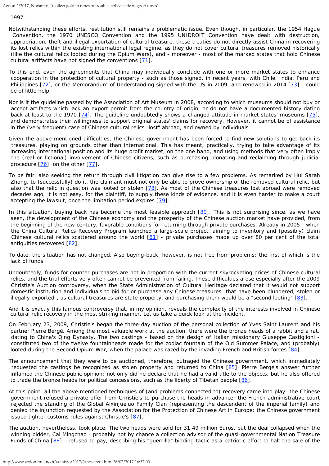1997.

- Notwithstanding these efforts, restitution still remains a problematic issue. Even though, in particular, the 1954 Hague Convention, the 1970 UNESCO Convention and the 1995 UNIDROIT Convention have dealt with destruction, appropriation, theft and illegal exportation of cultural treasure, these treaties do not directly assist China in recovering its lost relics within the existing international legal regime, as they do not cover cultural treasures removed historically (like the cultural relics looted during the Opium Wars), and - moreover - most of the marked states that hold Chinese cultural artifacts have not signed the conventions [\[71](#page-11-12)].
- <span id="page-5-1"></span><span id="page-5-0"></span>To this end, even the agreements that China may individually conclude with one or more market states to enhance cooperation in the protection of cultural property - such as those signed, in recent years, with Chile, India, Peru and Philippines [\[72](#page-11-13)], or the Memorandum of Understanding signed with the US in 2009, and renewed in 2014 [\[73](#page-11-14)] - could be of little help.
- <span id="page-5-2"></span>Nor is it the guideline passed by the Association of Art Museum in 2008, according to which museums should not buy or accept artifacts which lack an export permit from the country of origin, or do not have a documented history dating back at least to the 1970 [[74](#page-11-15)]. The guideline undoubtedly shows a changed attitude in market states' museums [\[75](#page-11-16)], and demonstrates their willingness to support original states' claims for recovery. However, it cannot be of assistance in the (very frequent) case of Chinese cultural relics "lost" abroad, and owned by individuals.
- Given the above mentioned difficulties, the Chinese government has been forced to find new solutions to get back its treasures, playing on grounds other than international. This has meant, practically, trying to take advantage of its increasing international position and its huge profit market, on the one hand, and using methods that very often imply the (real or fictional) involvement of Chinese citizens, such as purchasing, donating and reclaiming through judicial procedure  $[76]$  $[76]$ , on the other  $[77]$  $[77]$ .
- <span id="page-5-4"></span><span id="page-5-3"></span>To be fair, also seeking the return through civil litigation can give rise to a few problems. As remarked by Hui Sarah Zhong, to (successfully) do it, the claimant must not only be able to prove ownership of the removed cultural relic, but also that the relic in question was looted or stolen [\[78](#page-11-19)]. As most of the Chinese treasures lost abroad were removed decades ago, it is not easy, for the plaintiff, to supply these kinds of evidence, and it is even harder to make a court accepting the lawsuit, once the limitation period expires [\[79](#page-11-20)].
- <span id="page-5-6"></span><span id="page-5-5"></span>In this situation, buying back has become the most feasible approach [\[80](#page-11-21)]. This is not surprising since, as we have seen, the development of the Chinese economy and the prosperity of the Chinese auction market have provided, from the beginning of the new century, favorable conditions for returning through private purchases. Already in 2005 - when the China Cultural Relics Recovery Program launched a large-scale project, aiming to inventory and (possibly) claim Chinese cultural relics scattered around the world  $[81]$  $[81]$  - private purchases made up over 80 per cent of the total antiquities recovered [[82](#page-11-23)].
- <span id="page-5-8"></span><span id="page-5-7"></span>To date, the situation has not changed. Also buying-back, however, is not free from problems: the first of which is the lack of funds.
- Undoubtedly, funds for counter-purchases are not in proportion with the current skyrocketing prices of Chinese cultural relics, and the trial efforts very often cannot be prevented from failing. These difficulties arose especially after the 2009 Christie's Auction controversy, when the State Administration of Cultural Heritage declared that it would not support domestic institution and individuals to bid for or purchase any Chinese treasures "that have been plundered, stolen or illegally exported", as cultural treasures are state property, and purchasing them would be a "second looting"  $[83]$  $[83]$ .
- <span id="page-5-9"></span>And it is exactly this famous controversy that, in my opinion, reveals the complexity of the interests involved in Chinese cultural relic recovery in the most striking manner. Let us take a quick look at the incident.
- On February 23, 2009, Christie's began the three-day auction of the personal collection of Yves Saint Laurent and his partner Pierre Bergé. Among the most valuable work at the auction, there were the bronze heads of a rabbit and a rat, dating to China's Qing Dynasty. The two castings - based on the design of Italian missionary Giuseppe Castiglioni constituted two of the twelve fountainheads made for the zodiac fountain of the Old Summer Palace, and (probably) looted during the Second Opium War, when the palace was razed by the invading French and British forces [\[84](#page-11-25)].
- <span id="page-5-11"></span><span id="page-5-10"></span>The announcement that they were to be auctioned, therefore, outraged the Chinese government, which immediately requested the castings be recognized as stolen property and returned to China [\[85](#page-11-26)]. Pierre Bergé's answer further inflamed the Chinese public opinion: not only did he declare that he had a valid title to the objects, but he also offered to trade the bronze heads for political concessions, such as the liberty of Tibetan people [\[86](#page-11-27)].
- <span id="page-5-12"></span>At this point, all the above mentioned techniques of (and problems connected to) recovery came into play: the Chinese government refused a private offer from Christie's to purchase the heads in advance; the French administrative court rejected the standing of the Global Aixinjueluo Family Clan (representing the descendent of the imperial family) and denied the injunction requested by the Association for the Protection of Chinese Art in Europe; the Chinese government issued tighter customs rules against Christie's [\[87](#page-11-28)].
- <span id="page-5-14"></span><span id="page-5-13"></span>The auction, nevertheless, took place. The two heads were sold for 31.49 million Euros, but the deal collapsed when the winning bidder, Cai Mingchao - probably not by chance a collection advisor of the quasi-governmental Nation Treasure Funds of China [\[88](#page-11-29)] - refused to pay, describing his "guerrilla" bidding tactic as a patriotic effort to halt the sale of the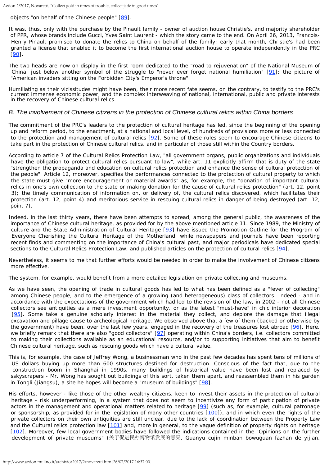<span id="page-6-0"></span>objects "on behalf of the Chinese people" [\[89](#page-12-0)].

It was, thus, only with the purchase by the Pinault family - owner of auction house Christie's, and majority shareholder of PPR, whose brands include Gucci, Yves Saint Laurent - which the story came to the end. On April 26, 2013, Francois- Henry Pinault promised to donate the relics to China on behalf of the family; early that month, Christie's had been granted a license that enabled it to become the first international auction house to operate independently in the PRC [\[90](#page-12-1)].

<span id="page-6-2"></span><span id="page-6-1"></span>The two heads are now on display in the first room dedicated to the "road to rejuvenation" of the National Museum of China, just below another symbol of the struggle to "never ever forget national humiliation" [\[91](#page-12-2)]: the picture of "American invaders sitting on the Forbidden City's Emperor's throne".

Humiliating as their vicissitudes might have been, their more recent fate seems, on the contrary, to testify to the PRC's current immense economic power, and the complex interweaving of national, international, public and private interests in the recovery of Chinese cultural relics.

#### *B. The involvement of Chinese citizens in the protection of Chinese cultural relics within China borders*

<span id="page-6-3"></span>The commitment of the PRC's leaders to the protection of cultural heritage has led, since the beginning of the opening up and reform period, to the enactment, at a national and local level, of hundreds of provisions more or less connected to the protection and management of cultural relics [\[92](#page-12-3)]. Some of these rules seem to encourage Chinese citizens to take part in the protection of Chinese cultural relics, and in particular of those still within the Country borders.

According to article 7 of the Cultural Relics Protection Law, "*all government organs, public organizations and individuals have the obligation to protect cultural relics pursuant to law*", while art. 11 explicitly affirm that is duty of the state "*strengthen the propaganda and education on cultural relics protection and enhance the sense of cultural protection of the people*". Article 12, moreover, specifies the performances connected to the protection of cultural property to which the state must give "*more encouragement or material awards*" as, for example, the "*donation of important cultural relics in one's own collection to the state or making donation for the cause of cultural relics protection"* (art. 12, point 3); *the timely communication of information on, or delivery of, the cultural relics discovered, which facilitates their protection* (art. 12, point 4) *and meritorious service in rescuing cultural relics in danger of being destroyed* (art. 12, point 7)*.*

<span id="page-6-4"></span>Indeed, in the last thirty years, there have been attempts to spread, among the general public, the awareness of the importance of Chinese cultural heritage, as provided for by the above mentioned article 11. Since 1989, the Ministry of culture and the State Administration of Cultural Heritage [\[93](#page-12-4)] have issued the Promotion Outline for the Program of Everyone Cherishing the Cultural Heritage of the Motherland, while newspapers and journals have been reporting recent finds and commenting on the importance of China's cultural past, and major periodicals have dedicated special sections to the Cultural Relics Protection Law, and published articles on the protection of cultural relics [\[94](#page-12-5)].

<span id="page-6-5"></span>Nevertheless, it seems to me that further efforts would be needed in order to make the involvement of Chinese citizens more effective.

The system, for example, would benefit from a more detailed legislation on private collecting and museums.

<span id="page-6-6"></span>As we have seen, the opening of trade in cultural goods has led to what has been defined as a "fever of collecting" among Chinese people, and to the emergence of a growing (and heterogeneous) class of collectors. Indeed - and in accordance with the expectations of the government which had led to the revision of the law, in 2002 - not all Chinese collectors see antiquities as a mere investment opportunity, or as the latest "must-have" in chic interior decoration [\[95](#page-12-6)]. Some take a genuine scholarly interest in the material they collect, and deplore the damage that illegal excavation and pillage cause to archeological heritage. We observed above that a few of them (backed or otherwise by the government) have been, over the last few years, engaged in the recovery of the treasures lost abroad  $[96]$  $[96]$ . Here, we briefly remark that there are also "good collectors" [[97](#page-12-8)] operating within China's borders, i.e. collectors committed to making their collections available as an educational resource, and/or to supporting initiatives that aim to benefit Chinese cultural heritage, such as rescuing goods which have a cultural value.

<span id="page-6-8"></span><span id="page-6-7"></span>This is, for example, the case of Jeffrey Wong, a businessman who in the past few decades has spent tens of millions of US dollars buying up more than 600 structures destined for destruction. Conscious of the fact that, due to the construction boom in Shanghai in 1990s, many buildings of historical value have been lost and replaced by sskyscrapers - Mr. Wong has sought out buildings of this sort, taken them apart, and reassembled them in his garden in Tongli (Jiangsu), a site he hopes will become a "museum of buildings"  $[98]$  $[98]$ .

<span id="page-6-13"></span><span id="page-6-12"></span><span id="page-6-11"></span><span id="page-6-10"></span><span id="page-6-9"></span>His efforts, however - like those of the other wealthy citizens, keen to invest their assets in the protection of cultural heritage - risk underperforming, in a system that does not seem to incentivize any form of participation of private actors in the management and operational matters related to heritage [\[99](#page-12-10)] (such as, for example, cultural patronage or sponsorship, as provided for in the legislation of many other countries [\[100](#page-12-11)]), and in which even the rights of the private collectors on their own antiquities are still unclear, due to the lack of coordination between the Property Law and the Cultural relics protection law [\[101](#page-12-12)] and, more in general, to the vague definition of property rights on heritage [\[102](#page-12-13)]. Moreover, few local government bodies have followed the indications contained in the "Opinions on the further development of private museums" (关于促进民办博物馆发展的意见, *Guanyu cujin minban bowuguan fazhan de yijian*,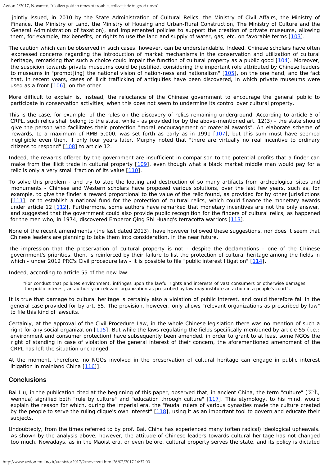jointly issued, in 2010 by the State Administration of Cultural Relics, the Ministry of Civil Affairs, the Ministry of Finance, the Ministry of Land, the Ministry of Housing and Urban-Rural Construction, The Ministry of Culture and the General Administration of taxation), and implemented policies to support the creation of private museums, allowing them, for example, tax benefits, or rights to use the land and supply of water, gas, etc. on favorable terms [\[103](#page-12-14)].

<span id="page-7-1"></span><span id="page-7-0"></span>The caution which can be observed in such cases, however, can be understandable. Indeed, Chinese scholars have often expressed concerns regarding the introduction of market mechanisms in the conservation and utilization of cultural heritage, remarking that such a choice could impair the function of cultural property as a public good [\[104](#page-12-15)]. Moreover, the suspicion towards private museums could be justified, considering the important role attributed by Chinese leaders to museums in "promot[ing] the national vision of nation-ness and nationalism" [\[105](#page-12-16)], on the one hand, and the fact that, in recent years, cases of illicit trafficking of antiquities have been discovered, in which private museums were used as a front  $[106]$  $[106]$ , on the other.

<span id="page-7-3"></span><span id="page-7-2"></span>More difficult to explain is, instead, the reluctance of the Chinese government to encourage the general public to participate in conservation activities, when this does not seem to undermine its control over cultural property.

<span id="page-7-4"></span>This is the case, for example, of the rules on the discovery of relics remaining underground. According to article 5 of CRPL, such relics shall belong to the state, while - as provided for by the above-mentioned art. 12(3) - the state should give the person who facilitates their protection "moral encouragement or material awards". An elaborate scheme of rewards, to a maximum of RMB 5,000, was set forth as early as in 1991 [[107](#page-12-18)], but this sum must have seemed negligible even then, if only four years later, Murphy noted that "there are virtually no real incentive to ordinary citizens to respond"  $[108]$  $[108]$  to article 12.

<span id="page-7-6"></span><span id="page-7-5"></span>Indeed, the rewards offered by the government are insufficient in comparison to the potential profits that a finder can make from the illicit trade in cultural property [\[109](#page-12-20)], even though what a black market middle man would pay for a relic is only a very small fraction of its value  $[110]$  $[110]$ .

<span id="page-7-8"></span><span id="page-7-7"></span>To solve this problem - and try to stop the looting and destruction of so many artifacts from archeological sites and monuments - Chinese and Western scholars have proposed various solutions, over the last few years, such as, for example, to give the finder a reward proportional to the value of the relic found, as provided for by other jurisdictions [[111](#page-12-22)], or to establish a national fund for the protection of cultural relics, which could finance the monetary awards under article 12 [\[112](#page-12-23)]. Furthermore, some authors have remarked that monetary incentives are not the only answer, and suggested that the government could also provide public recognition for the finders of cultural relics, as happened for the men who, in 1974, discovered Emperor Qing Shi Huang's terracotta warriors [\[113](#page-12-24)].

<span id="page-7-10"></span><span id="page-7-9"></span>None of the recent amendments (the last dated 2013), have however followed these suggestions, nor does it seem that Chinese leaders are planning to take them into consideration, in the near future.

The impression that the preservation of cultural property is not - despite the declamations - one of the Chinese government's priorities, then, is reinforced by their failure to list the protection of cultural heritage among the fields in which - under 2012 PRC's Civil procedure law - it is possible to file "public interest litigation" [[114](#page-12-25)].

<span id="page-7-11"></span>Indeed, according to article 55 of the new law:

"*For conduct that pollutes environment, infringes upon the lawful rights and interests of vast consumers or otherwise damages the public interest, an authority or relevant organization as prescribed by law may institute an action in a people's court*"*.*

It is true that damage to cultural heritage is certainly also a violation of public interest, and could therefore fall in the general case provided for by art. 55. The provision, however, only allows "*relevant organizations as prescribed by law*" to file this kind of lawsuits.

<span id="page-7-12"></span>Certainly, at the approval of the Civil Procedure Law, in the whole Chinese legislation there was no mention of such a right for any social organization [[115](#page-13-0)]. But while the laws regulating the fields specifically mentioned by article 55 (i.e.: environment and consumer protection) have subsequently been amended, in order to grant to at least some NGOs the right of standing in case of violation of the general interest of their concern, the aforementioned amendment of the CRPL has left the situation unchanged.

<span id="page-7-13"></span>At the moment, therefore, no NGOs involved in the preservation of cultural heritage can engage in public interest litigation in mainland China [\[116](#page-13-1)]].

## **Conclusions**

<span id="page-7-15"></span><span id="page-7-14"></span>Bai Liu, in the publication cited at the beginning of this paper, observed that, in ancient China, the term "culture" (文化*, wenhua*) signified both "rule by culture" and "education through culture" [\[117](#page-13-2)]. This etymology, to his mind, would explain the reason for which, during the imperial era, the "*feudal rulers of various dynasties made the culture created by the people to serve the ruling clique's own interest*" [\[118](#page-13-3)], using it as an important tool to govern and educate their subjects.

Undoubtedly, from the times referred to by prof. Bai, China has experienced many (often radical) ideological upheavals. As shown by the analysis above, however, the attitude of Chinese leaders towards cultural heritage has not changed too much. Nowadays, as in the Maoist era, or even before, cultural property serves the state, and its policy is dictated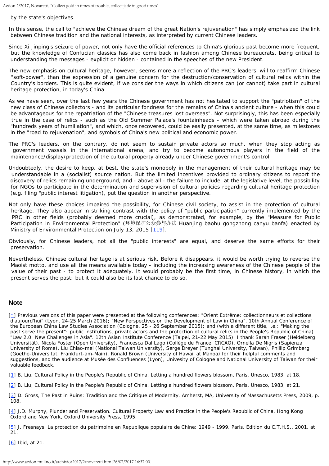by the state's objectives.

In this sense, the call to "achieve the Chinese dream of the great Nation's rejuvenation" has simply emphasized the link between Chinese tradition and the national interests, as interpreted by current Chinese leaders.

Since Xi Jinping's seizure of power, not only have the official references to China's glorious past become more frequent, but the knowledge of Confucian classics has also come back in fashion among Chinese bureaucrats, being critical to understanding the messages - explicit or hidden - contained in the speeches of the new President.

The new emphasis on cultural heritage, however, seems more a reflection of the PRC's leaders' will to reaffirm Chinese "soft-power", than the expression of a genuine concern for the destruction/conservation of cultural relics within the Country's borders. This is quite evident, if we consider the ways in which citizens can (or cannot) take part in cultural heritage protection, in today's China.

As we have seen, over the last few years the Chinese government has not hesitated to support the "patriotism" of the new class of Chinese collectors - and its particular fondness for the remains of China's ancient culture - when this could be advantageous for the repatriation of the "Chinese treasures lost overseas". Not surprisingly, this has been especially true in the case of relics - such as the Old Summer Palace's fountainheads - which were taken abroad during the "hundreds years of humiliation", and which, once recovered, could be easily presented, at the same time, as milestones in the "road to rejuvenation", and symbols of China's new political and economic power.

The PRC's leaders, on the contrary, do not seem to sustain private actors so much, when they stop acting as government vassals in the international arena, and try to become autonomous players in the field of the maintenance/display/protection of the cultural property already under Chinese government's control.

Undoubtedly, the desire to keep, at best, the state's monopoly in the management of their cultural heritage may be understandable in a (socialist) source nation. But the limited incentives provided to ordinary citizens to report the discovery of relics remaining underground, and - above all - the failure to include, at the legislative level, the possibility for NGOs to participate in the determination and supervision of cultural policies regarding cultural heritage protection (e.g. filing "public interest litigation), put the question in another perspective.

Not only have these choices impaired the possibility, for Chinese civil society, to assist in the protection of cultural heritage. They also appear in striking contrast with the policy of "public participation" currently implemented by the PRC in other fields (probably deemed more crucial), as demonstrated, for example, by the "Measure for Public Participation in Environmental Protection" (环境保护公众参与办法 *Huanjing baohu gongzhong canyu banfa*) enacted by Ministry of Environmental Protection on July 13, 2015 [\[119](#page-13-4)].

<span id="page-8-7"></span>Obviously, for Chinese leaders, not all the "public interests" are equal, and deserve the same efforts for their preservation.

Nevertheless, Chinese cultural heritage is at serious risk. Before it disappears, it would be worth trying to reverse the Maoist motto, and use all the means available today - including the increasing awareness of the Chinese people of the value of their past - to protect it adequately. It would probably be the first time, in Chinese history, in which the present serves the past; but it could also be its last chance to do so.

#### **Note**

<span id="page-8-0"></span>[\[\\*](#page-1-1)] Previous versions of this paper were presented at the following conferences: "Orient Extrême: collectionneurs et collections d'aujourd'hui" (Lyon, 24-25 March 2016); "New Perspectives on the Development of Law in China", 10th Annual Conference of the European China Law Studies Association (Cologne, 25 - 26 September 2015); and (with a different title, i.e.: "Making the past serve the present": public institutions, private actors and the protection of cultural relics in the People's Republic of China) "*Law 2.0: New Challenges in Asia".* 12th Asian Institute Conference (Taipei, 21-22 May 2015). I thank Sarah Fraser (Heidelberg Universität), Nicola Foster (Open University), Francesca Dal Lago (Collège de France, CRCAO), Ornella De Nigris (Sapienza University of Rome), Liu Chiao-mei (National Taiwan University), Serge Dreyer (Tunghai University, Taiwan), Phillip Grimberg (Goethe-Universität, Frankfurt-am-Main), Ronald Brown (University of Hawaii at Manoa) for their helpful comments and suggestions, and the audience at Musée des Confluences (Lyon), Univesity of Cologne and National University of Taiwan for their valuable feedback.

<span id="page-8-1"></span>[\[1](#page-1-2)] B. Liu, *Cultural Policy in the People's Republic of China. Letting a hundred flowers blossom*, Paris, Unesco, 1983, at 18.

<span id="page-8-2"></span>[\[2](#page-1-3)] B. Liu, *Cultural Policy in the People's Republic of China. Letting a hundred flowers blossom*, Paris, Unesco, 1983, at 21.

<span id="page-8-3"></span>[\[3](#page-1-4)] D. Gross, *The Past in Ruins: Tradition and the Critique of Modernity*, Amherst, MA, University of Massachusetts Press, 2009, p. 108.

<span id="page-8-4"></span>[\[4](#page-1-5)] J.D. Murphy, Plunder and Preservation. Cultural Property Law and Practice in the People's Republic of China, Hong Kong Oxford and New York, Oxford University Press, 1995.

<span id="page-8-5"></span>[\[5](#page-1-6)] J. Fresnays, *La protection du patrimoine en Republique populaire de Chine: 1949 - 1999*, Paris, Édition du C.T.H.S., 2001, at 21.

<span id="page-8-6"></span>[\[6](#page-1-7)] *Ibid*, at 21.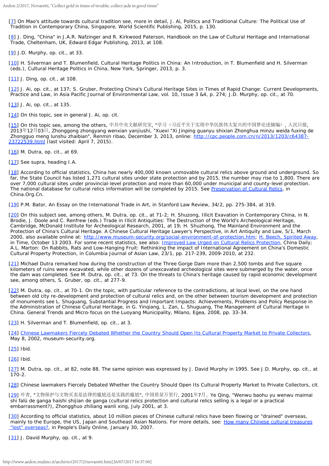<span id="page-9-0"></span>[\[7](#page-2-0)] On Mao's attitude towards cultural tradition see, more in detail, J. Ai, *Politics and Traditional Culture: The Political Use of Tradition in Contemporary China*, Singapore, World Scientific Publishing, 2015, p. 130.

<span id="page-9-1"></span>[\[8](#page-2-1)] J. Ding, "*China*" in J.A.R. Nafzinger and R. Kirkwood Paterson, *Handbook on the Law of Cultural Heritage and International Trade*, Cheltenham, UK, Edward Edgar Publishing, 2013, at 108.

<span id="page-9-2"></span>[\[9](#page-2-2)] J.D. Murphy, *op. cit*., at 33.

<span id="page-9-3"></span>[\[10](#page-2-3)] H. Silverman and T. Blumenfield, *Cultural Heritage Politics in China: An Introduction*, in T. Blumenfield and H. Silverman (eds.), *Cultural Heritage Politics in China*, New York, Springer, 2013, p. 3.

<span id="page-9-4"></span>[\[11](#page-2-3)] J. Ding, *op. cit*., at 108.

<span id="page-9-5"></span>[\[12](#page-2-4)] J. Ai, *op. cit.*, at 137; S. Gruber, *Protecting China's Cultural Heritage Sites in Times of Rapid Change: Current Developments, Practice and Law*, in *Asia Pacific Journal of Environmental Law*, vol. 10, Issue 3 &4, p. 274; J.D. Murphy, *op. cit*., at 70.

<span id="page-9-6"></span>[\[13](#page-2-5)] J. Ai, *op. cit.*, at 135.

<span id="page-9-7"></span>[\[14](#page-2-6)] On this topic, see in general J. Ai, *op. cit*.

<span id="page-9-8"></span>[\[15](#page-2-7)] On this topic see, among the others, 中共中央文献研究室, "学习《习近平关于实现中华民族伟大复兴的中国梦论述摘编》, 人民日报, 2013年12月03日, *Zhonggong zhongyang wenxian yanjiushi, "Xuexi "Xi Jinping guanyu shixian Zhonghua minzu weida fuxing de Zhongguo meng lunshu zhaibian*", Renmin ribao, December 3, 2013, online: [http://cpc.people.com.cn/n/2013/1203/c64387-](http://cpc.people.com.cn/n/2013/1203/c64387-23722539.html) [23722539.html](http://cpc.people.com.cn/n/2013/1203/c64387-23722539.html) (last visited: April 7, 2015).

<span id="page-9-9"></span>[\[16](#page-2-8)] M. Dutra, *op. cit*., at 69.

<span id="page-9-10"></span>[\[17](#page-2-9)] See *supra*, heading I.A.

<span id="page-9-11"></span>[\[18](#page-2-10)] According to official statistics, China has nearly 400,000 known unmovable cultural relics above ground and underground. So far, the State Council has listed 1,271 cultural sites under state protection and by 2015, the number may rise to 1,800. There are over 7,000 cultural sites under provincial-level protection and more than 60,000 under municipal and county-level protection. The national database for cultural relics information will be completed by 2015. See *[Preservation](http://www.china.org.cn/english/features/Brief/193349.htm) [of Cultural Relics](http://www.china.org.cn/english/features/Brief/193349.htm)*, in *China.Org.Cn*.

<span id="page-9-12"></span>[\[19](#page-2-11)] P.M. Bator, *An Essay on the International Trade in Art*, in *Stanford Law Review*, 34/2, pp. 275-384, at 319.

<span id="page-9-13"></span>[\[20](#page-2-12)] On this subject see, among others, M. Dutra, *op. cit*., at 71-2; H. Shuzong, *Illicit Exavation in Contemporary China*, in N. Brodie, J. Doole and C. Renfrew (eds.) *Trade in Illicit Antiquities: The Destruction of the World's Archeological Heritage*, Cambridge, McDonald Institute for Archeological Research, 2001, at 19; H. Shuzhong, *The Mainland Environment and the Protection of China's Cultural Heritage. A Chinese Cultural Heritage Lawyer's Perspective*, in *Art Antiquity and Law*, 5/1, March 2000, also available online at:<http://www.museum-security.org/social-environment-of-protection.htm>; [H.](http://content.time.com/time/world/article/0,8599,2056101,00.html) [Beech,](http://content.time.com/time/world/article/0,8599,2056101,00.html) *[Spirited Away](http://content.time.com/time/world/article/0,8599,2056101,00.html)*, in *Time*, October 13 2003. For some recent statistics, see also: *[Improved Law](http://www.chinadaily.com.cn/china/2012-11/19/content_15941366.htm) [Urged on Cultural Relics Protection](http://www.chinadaily.com.cn/china/2012-11/19/content_15941366.htm)*, China Daily; A.L. Marton: *On Rabbits, Rats and Low-Hanging Fruit: Rethinking the impact of International Agreement on China's Domestic Cultural Property Protection*, in *Columbia Journal of Asian Law*, 23/1, pp. 217-239, 2009-2010, at 232.

<span id="page-9-14"></span>[\[21](#page-2-13)] Michael Dutra remarked how during the construction of the Three Gorge Dam more than 2,500 tombs and five square kilometers of ruins were excavated, while other dozens of unexcavated archeological sites were submerged by the water, once the dam was completed. See M. Dutra, *op. cit.*, at 73. On the threats to China's heritage caused by rapid economic development see, among others, S. Gruber, *op. cit*., at 277-9.

<span id="page-9-15"></span>[\[22](#page-2-14)] M. Dutra, *op. cit.*, at 70-1. On the topic, with particular reference to the contradictions, at local level, on the one hand between old city re-development and protection of cultural relics and, on the other between tourism development and protection of monuments see L. Shuguang, *Substantial Progress and Important Impacts: Achievements, Problems and Policy Response in the Administration of Chinese Cultural Heritage*, in G. Yinqiang, L. Zan, L. Shuguang, *The Management of Cultural Heritage in China. General Trends and Micro-focus on the Luoyang Municipality*, Milano, Egea, 2008, pp. 33-34.

<span id="page-9-16"></span>[\[23](#page-2-15)] H. Silverman and T. Blumenfield, *op. cit*., at 3.

<span id="page-9-17"></span>[\[24](#page-2-16)] *[Chinese](http://www.museum-security.org/02/058.html#4) [Lawmakers Fiercely Debated Whether the Country Should Open Its Cultural](http://www.museum-security.org/02/058.html#4) [Property Market to Private Collectors](http://www.museum-security.org/02/058.html#4)*, May 8, 2002, museum-security.org.

<span id="page-9-18"></span>[\[25](#page-2-17)] *Ibid*.

<span id="page-9-19"></span>[\[26](#page-2-18)] *Ibid.*

<span id="page-9-20"></span>[\[27](#page-2-18)] M. Dutra, *op. cit.*, at 82, note 88. The same opinion was expressed by J. David Murphy in 1995. See J.D. Murphy, *op. cit.*, at  $170 - 2$ .

<span id="page-9-21"></span>[\[28](#page-2-19)] *Chinese lawmakers Fiercely Debated Whether the Country Should Open Its Cultural Property Market to Private Collectors*, *cit*.

<span id="page-9-22"></span>[\[29](#page-3-0)] 叶青, "文物保护与文物买卖是法律的尴尬还是实践的尴尬", 中国质量万里行, 2001年7月,*Ye Qing, "Wenwu baohu yu wenwu maimai shi falü de ganga haishi shijian de ganga* (cultural relics protection and cultural relics selling is a legal or a practical embarrassment?), Zhongghuo zhiliang wanli xing, July 2001, at 3.

<span id="page-9-23"></span>[\[30](#page-3-1)] According to official statistics, about 10 million pieces of Chinese cultural relics have been flowing or "drained" overseas, mainly to the Europe, the US, Japan and Southeast Asian Nations. For more details, see: *[How many Chinese](http://en.people.cn/200701/30/eng20070130_346095.html) [cultural treasures](http://en.people.cn/200701/30/eng20070130_346095.html)  ["lost" overseas?](http://en.people.cn/200701/30/eng20070130_346095.html)*, in *People's Daily Online*, January 30, 2007.

<span id="page-9-24"></span>[\[31](#page-3-2)] J. David Murphy, *op. cit.*, at 9.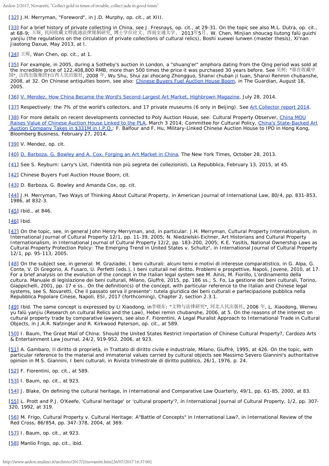Aedon 2/2017, Novaretti, "Collect gold in times of trouble, collect jade in good times"

<span id="page-10-0"></span>[\[32](#page-3-3)] J.H. Merryman, "*Foreword*", in J.D. Murphy, *op. cit.*, at XIII.

<span id="page-10-1"></span>[\[33](#page-3-4)] For a brief history of private collecting in China, see J. Fresnays, *op. cit.*, at 29-31. On the topic see also M.L. Dutra, *op. cit.*, at 68-9; 王琛, 民间收藏文物流通法律规制研究, 博士学位论文,西南交通大学, 2013年5月,W. Chen, *Minjian shoucag liutong falü guizhi yanjiu* (the regulations on the circulation of private collections of cultural relics), Boshi xuewei lunwen (master thesis), Xi'nan Jiaotong Daxue, May 2013, at I.

<span id="page-10-2"></span>[\[34](#page-3-5)] 王琛, Wan Chen, *op. cit.*, at 1.

<span id="page-10-3"></span>[\[35](#page-3-6)] For example, in 2005, during a Sotheby's auction in London, a "shuang'er" amphora dating from the Qing period was sold at the incredible price of 122,408,800 RMB, more than 500 times the price it was purchased 30 years before. See 吴树: "谁在收藏中 国", 山西出版集团?山西人民出版社, 2008 年, Wu Shu, *Shui zai zhocang Zhongguo*, Shanxi chuban ji tuan, Shanxi Renmin chubanshe, 2008, at 32. On Chinese antiquities boom, see also: *[Chinese Buyers Fuel Auction House Boom](http://www.theguardian.com/uk/2005/aug/18/arts.artsnews2)*, in The Guardian, August 18, 2005.

<span id="page-10-4"></span>[\[36](#page-3-7)] [V. Mendez,](http://www.highbrowmagazine.com/4172-how-china-became-world-s-second-largest-art-market) *[How](http://www.highbrowmagazine.com/4172-how-china-became-world-s-second-largest-art-market) [China Became the Word's Second-Largest Art Market](http://www.highbrowmagazine.com/4172-how-china-became-world-s-second-largest-art-market)*[,](http://www.highbrowmagazine.com/4172-how-china-became-world-s-second-largest-art-market) [Highbrown Magazine](http://www.highbrowmagazine.com/4172-how-china-became-world-s-second-largest-art-market), July 28, 2014.

<span id="page-10-5"></span>[\[37](#page-3-8)] Respectively: the 7% of the world's collectors, and 17 private museums (6 only in Beijing). See *[Art](https://www.larryslist.com/art-collector-report/) [Collector report 2014](https://www.larryslist.com/art-collector-report/)*.

<span id="page-10-6"></span>[\[38](#page-3-9)] For more details on recent developments connected to Poly Auction House, see: Cultural Property Observer, *[China MOU](http://culturalpropertyobserver.blogspot.it/2014/03/china-mou-raises-value-of-chinese.html)  [Raises Value of Chinese Auction House Linked to the PLA](http://culturalpropertyobserver.blogspot.it/2014/03/china-mou-raises-value-of-chinese.html)*, March 3 2014; Committee for Cultural Policy, *[China's State-Backed Art](http://committeeforculturalpolicy.org/chinas-state-backed-art-auction-company-takes-in-331m-in-i-p-o/)  [Auction Company Takes in \\$331M in I.P.O.](http://committeeforculturalpolicy.org/chinas-state-backed-art-auction-company-takes-in-331m-in-i-p-o/)*; F. Balfour and F. Hu, *Military-Linked Chinese Auction House to IPO in Hong Kong*, Bloomberg Business, February 27, 2014.

<span id="page-10-7"></span>[\[39](#page-3-10)] V. Mendez, *op. cit.*

<span id="page-10-8"></span>[\[40](#page-3-11)] [D. Barboza, G. Bowley and A. Cox,](http://www.nytimes.com/projects/2013/china-art-fraud) *[Forging an Art Market in China](http://www.nytimes.com/projects/2013/china-art-fraud)*, The New York Times, October 28, 2013.

<span id="page-10-9"></span>[\[41](#page-3-12)] See S. Reyburn: *Larry's List, l'identità non più segreta dei collezionisti*, La Repubblica, February 13, 2015, at 45.

- <span id="page-10-10"></span>[\[42](#page-3-13)] *Chinese Buyers Fuel Auction House Boom*, *cit.*
- <span id="page-10-11"></span>[\[43](#page-3-14)] D. Barboza, G. Bowley and Amanda Cox, *op. cit.*

<span id="page-10-12"></span>[\[44](#page-3-15)] J.H. Merryman, *Two Ways of Thinking About Cultural Property*, in *American Journal of International Law*, 80/4, pp. 831-853, 1986, at 832-3.

<span id="page-10-13"></span>[\[45](#page-3-16)] *Ibid.*, at 846.

<span id="page-10-14"></span>[\[46](#page-3-17)] *Ibid.*

<span id="page-10-15"></span>[\[47](#page-3-18)] On the topic, see, in general John Henry Merryman, and, in particular: J.H. Merryman, *Cultural Property Internationalism*, in *International Journal of Cultural Property* 12/1, pp. 11-39, 2005; N. Niedzielski-Eichner, *Art Historians and Cultural Property Internationalism*, in *International Journal of Cultural Property* 12/2, pp. 183-200, 2005; K.E. Yasitis, *National Ownership Laws as Cultural Property Protection Policy: The Emerging Trend in United States v. Schultz*", in *International Journal of Cultural Property* 12/1, pp. 95-113, 2005.

<span id="page-10-16"></span>[\[48](#page-3-19)] On the subject see, in general: M. Graziadei, *I beni culturali: alcuni temi e motivi di interesse comparatistico*, in G. Alpa, G. Conte, V. Di Gregorio, A. Fusaro, U. Perfetti (eds.), *I beni culturali nel diritto. Problemi e prospettive*, Napoli, Jovene, 2010, at 17. For a brief analysis on the evolution of the concept in the Italian legal system see M. Ainis, M. Fiorillo, *L'ordinamento della cultura. Manuale di legislazione dei beni culturali*, Milano, Giuffrè, 2015, pp. 186 ss.; S. Fo, *La gestione dei beni culturali*, Torino, Giappichelli, 2001, pp. 17 e ss.. On the definition(s) of the concept, with particular reference to the Italian and Chinese legal systems, see S. Novaretti, *Che il passato serva il presente': tutela giuridica dei beni culturali e partecipazione pubblica nella Repubblica Popolare Cinese*, Napoli, ESI, 2017 (forthcoming), Chapter 2, section 2.3.1.

<span id="page-10-17"></span>[\[49](#page-3-20)] *Ibid*. The same concept is expressed by Li Xiaodong, in李晓东: "文物与法律研究", 河北人民出版社, 2006 年, L. Xiaodong, *Wenwu yu falü yanjiu* (Research on cultural Relics and the Law), Hebei remin chubanshe, 2006, at 5. On the reasons of the interest on cultural property trade by comparative lawyers, see also F. Fiorentini, *A Legal Pluralist Approach to International Trade in Cultural Objects*, in J.A.R. Nafzinger and R. Kirkwood Paterson, *op. cit.*, at 589.

<span id="page-10-18"></span>[\[50](#page-3-21)] I. Baum, T*he Great Mall of China: Should the United States Restrict Importation of Chinese Cultural Property?*, Cardozo Arts & Entertainment Law Journal, 24/2, 919-952, 2006, at 923.

<span id="page-10-19"></span>[\[51](#page-3-22)] A. Gambaro, *Il diritto di proprietà*, in *Trattato di diritto civile e industriale*, Milano, Giuffrè, 1995, at 426. On the topic, with particular reference to the material and immaterial values carried by cultural objects see Massimo Severo Giannini's authoritative opinion in M.S. Giannini, *I beni culturali*, in *Rivista trimestrale di diritto pubblico*, 26/1, 1976, p. 24.

<span id="page-10-20"></span>[\[52](#page-3-23)] F. Fiorentini, *op. cit.*, at 589.

- <span id="page-10-21"></span>[\[53](#page-3-24)] I. Baum, *op. cit.*, at 923.
- <span id="page-10-22"></span>[\[54](#page-4-0)] J. Blake, *On defining the cultural heritage*, in *International and Comparative Law Quarterly*, 49/1, pp. 61-85, 2000, at 83.

<span id="page-10-23"></span>[\[55](#page-4-1)] L. Prott and P.J. O'Keefe, *'Cultural heritage' or 'cultural property'?*, in *International Journal of Cultural Property*, 1/2, pp. 307- 320, 1992, at 319.

<span id="page-10-24"></span>[\[56](#page-4-2)] M. Frigo, *Cultural Property v. Cultural Heritage: A"Battle of Concepts" in International Law?*, in *International Review of the Red Cross*, 86/854, pp. 347-378, 2004, at 369.

<span id="page-10-25"></span>[\[57](#page-4-3)] I. Baum, *op. cit.*, at 923.

<span id="page-10-26"></span>[\[58](#page-4-4)] Manlio Frigo, *op. cit.*, *ibid*.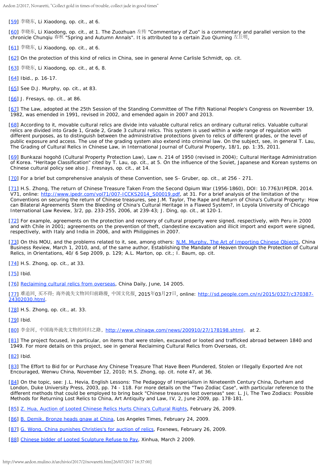Aedon 2/2017, Novaretti, "Collect gold in times of trouble, collect jade in good times"

<span id="page-11-0"></span>[\[59](#page-4-5)] 李晓东, Li Xiaodong, *op. cit.*, at 6.

<span id="page-11-1"></span>[\[60](#page-4-6)] 李晓东, Li Xiaodong, *op. cit.*, at 1. The Zuozhuan 左传 "Commentary of Zuo" is a commentary and parallel version to the chronicle Chunqiu 春秋 "Spring and Autumn Annals". It is attributed to a certain Zuo Qiuming 左丘明,

<span id="page-11-2"></span>[\[61](#page-4-7)] 李晓东, Li Xiaodong, *op. cit.*, at 6.

<span id="page-11-3"></span>[\[62](#page-4-8)] On the protection of this kind of relics in China, see in general Anne Carlisle Schmidt, *op. cit.*

<span id="page-11-4"></span>[\[63](#page-4-8)] 李晓东, Li Xiaodong, *op. cit.*, at 6, 8.

<span id="page-11-5"></span>[\[64](#page-4-9)] *Ibid*., p. 16-17.

<span id="page-11-6"></span>[\[65](#page-4-10)] See D.J. Murphy, *op. cit.*, at 83.

<span id="page-11-7"></span>[\[66](#page-4-11)] J. Fresays, *op. cit.*, at 86.

<span id="page-11-8"></span>[\[67](#page-4-12)] The Law, adopted at the 25th Session of the Standing Committee of The Fifth National People's Congress on November 19, 1982, was emended in 1991, revised in 2002, and emended again in 2007 and 2013.

<span id="page-11-9"></span>[\[68](#page-4-13)] According to it, movable cultural relics are divide into valuable cultural relics an ordinary cultural relics. Valuable cultural relics are divided into Grade 1, Grade 2, Grade 3 cultural relics. This system is used within a wide range of regulation with different purposes, as to distinguish between the administrative protections given to relics of different grades, or the level of public exposure and access. The use of the grading system also extend into criminal law. On the subject, see, in general T. Lau, *The Grading of Cultural Relics in Chinese Law*, in *International Journal of Cultural Property*, 18/1, pp. 1:35, 2011.

<span id="page-11-10"></span>[\[69](#page-4-14)] Bunkazai hogohō (Cultural Property Protection Law), Law n. 214 of 1950 (revised in 2004); Cultural Heritage Administration of Korea. "Heritage Classification" cited by T. Lau, *op. cit.*, at 5. On the influence of the Soviet, Japanese and Korean systems on Chinese cultural policy see also J. Fresnays, *op. cit.*, at 14.

<span id="page-11-11"></span>[\[70](#page-4-15)] For a brief but comprehensive analysis of these Convention, see S- Gruber, *op. cit.*, at 256 - 271.

<span id="page-11-12"></span>[\[71](#page-5-0)] H.S. Zhong, *The return of Chinese Treasure Taken From the Second Opium War (1956-1860)*, DOI: 10.7763/IPEDR. 2014. V71, online: [http://www.ipedr.com/vol71/007-ICCKS2014\\_S00019.pdf](http://www.ipedr.com/vol71/007-ICCKS2014_S00019.pdf), at 31. For a brief analysis of the limitation of the Conventions on securing the return of Chinese treasures, see J.M. Taylor, *The Rape and Return of China's Cultural Property: How can Bilateral Agreements Stem the Bleeding of China's Cultural Heritage in a Flawed System?*, in *Loyola University of Chicago International Law Review*, 3/2, pp. 233-255, 2006, at 239-43; J. Ding, *op. cit.*, at 120-1.

<span id="page-11-13"></span>[\[72](#page-5-1)] For example, agreements on the protection and recovery of cultural property were signed, respectively, with Peru in 2000 and with Chile in 2001; agreements on the prevention of theft, clandestine excavation and illicit import and export were signed, respectively, with Italy and India in 2006, and with Philippines in 2007.

<span id="page-11-14"></span>[\[73](#page-5-1)] On this MOU, and the problems related to it, see, among others: [N.M. Murphy,](http://www.chinabusinessreview.com/the-art-of-importing-chinese-objects/) *[The Art of](http://www.chinabusinessreview.com/the-art-of-importing-chinese-objects/) [Importing Chinese Objects](http://www.chinabusinessreview.com/the-art-of-importing-chinese-objects/)*, China Business Review, March 1, 2010, and, of the same author, *Establishing the Mandate of Heaven through the Protection of Cultural Relics*, in *Orientations*, 40/ 6 Sep 2009, p. 129; A.L. Marton, *op. cit.*; I. Baum, *op. cit.*

<span id="page-11-15"></span>[\[74](#page-5-2)] H.S. Zhong, *op. cit.*, at 33.

<span id="page-11-16"></span>[\[75](#page-5-2)] *Ibid*.

<span id="page-11-17"></span>[\[76](#page-5-3)] *[Reclaiming](http://www.chinadaily.com.cn/english/doc/2005-06/14/content_451186.htm) [cultural relics from overseas](http://www.chinadaily.com.cn/english/doc/2005-06/14/content_451186.htm)*, China Daily, June, 14 2005.

<span id="page-11-18"></span>[\[77](#page-5-3)] 难追回, 买不得: 海外流失文物回归前路漫, 中国文化报, 2015年03月27日, online: [http://sd.people.com.cn/n/2015/0327/c370387-](http://sd.people.com.cn/n/2015/0327/c370387-24302030.html) [24302030.html](http://sd.people.com.cn/n/2015/0327/c370387-24302030.html).

<span id="page-11-19"></span>[\[78](#page-5-4)] H.S. Zhong, *op. cit.*, at. 33.

<span id="page-11-20"></span>[\[79](#page-5-5)] *Ibid*.

<span id="page-11-21"></span>[\[80](#page-5-6)] 李金河,中国海外流失文物的回归之路, <http://www.chinaqw.com/news/200910/27/178198.shtml>, at 2.

<span id="page-11-22"></span>[\[81](#page-5-7)] The project focused, in particular, on items that were stolen, excavated or looted and trafficked abroad between 1840 and 1949. For more details on this project, see in general *Reclaiming Cultural Relics from Overseas*, *cit.*

<span id="page-11-23"></span>[\[82](#page-5-8)] *Ibid.*

<span id="page-11-24"></span>[\[83](#page-5-9)] *The Effort to Bid for or Purchase Any Chinese Treasure That Have Been Plundered, Stolen or Illegally Exported Are not Encouraged*, Wenwu China, November 12, 2010; H.S. Zhong, *op. cit.* note 47, at 36.

<span id="page-11-25"></span>[\[84](#page-5-10)] On the topic, see: J.L. Hevia, *English Lessons: The Pedagogy of Imperialism in Nineteenth Century China*, Durham and London, Duke University Press, 2003, pp. 74 - 118. For more details on the "Two Zodiac Case", with particular reference to the different methods that could be employed to bring back "Chinese treasures lost overseas" see: L. Ji, *The Two Zodiacs: Possible Methods for Returning Lost Relics to China*, Art Antiquity and Law, IV, 2, June 2009, pp. 178-181.

<span id="page-11-26"></span>[\[85](#page-5-11)] [Z. Hua,](http://english.sina.com/china/2009/0226/221567.html) *[Auction](http://english.sina.com/china/2009/0226/221567.html) [of Looted Chinese Relics Hurts China's Cultural Rights](http://english.sina.com/china/2009/0226/221567.html)*, February 26, 2009.

- <span id="page-11-27"></span>[\[86](#page-5-12)] [B. Demik,](http://articles.latimes.com/2009/feb/24/world/fg-zodiac24) *[Bronze](http://articles.latimes.com/2009/feb/24/world/fg-zodiac24) [heads gnaw at China](http://articles.latimes.com/2009/feb/24/world/fg-zodiac24)*, Los Angeles Times, February 24, 2009.
- <span id="page-11-28"></span>[\[87](#page-5-13)] [G. Wong,](http://www.foxnews.com/printer_friendly_wires/2009Feb26/0,4675,ASChinaSaintLaurentAuction,00.html) *[China](http://www.foxnews.com/printer_friendly_wires/2009Feb26/0,4675,ASChinaSaintLaurentAuction,00.html) [punishes Christies's for auction of relics](http://www.foxnews.com/printer_friendly_wires/2009Feb26/0,4675,ASChinaSaintLaurentAuction,00.html)*, Foxnews, February 26, 2009.
- <span id="page-11-29"></span>[\[88](#page-5-14)] *[Chinese](http://www.chinadaily.com.cn/china/2009-03/02/content_7526153.htm) [bidder of Looted Sculpture Refuse to Pay](http://www.chinadaily.com.cn/china/2009-03/02/content_7526153.htm)*, Xinhua, March 2 2009.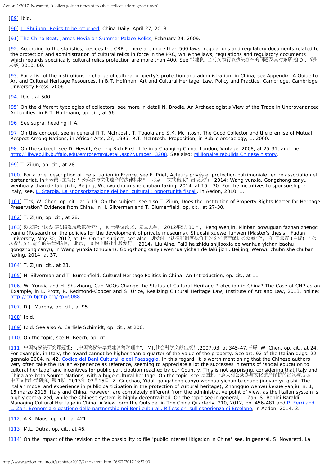Aedon 2/2017, Novaretti, "Collect gold in times of trouble, collect jade in good times"

<span id="page-12-0"></span>[\[89](#page-6-0)] *Ibid.*

<span id="page-12-1"></span>[\[90](#page-6-1)] [L. Shujuan,](http://usa.chinadaily.com.cn/china/2013-04/27/content_16454737.htm) *[Relics to be returned](http://usa.chinadaily.com.cn/china/2013-04/27/content_16454737.htm)*, China Daily, April 27, 2013.

<span id="page-12-2"></span>[\[91](#page-6-2)] [The China Beat,](http://thechinabeat.blogspot.it/2009/02/james-hevia-on-summer-palace-relics.html) *[James](http://thechinabeat.blogspot.it/2009/02/james-hevia-on-summer-palace-relics.html) [Hevia on Summer Palace Relics](http://thechinabeat.blogspot.it/2009/02/james-hevia-on-summer-palace-relics.html)*, February 24, 2009.

<span id="page-12-3"></span>[\[92](#page-6-3)] According to the statistics, besides the CRPL, there are more than 500 laws, regulations and regulatory documents related to the protection and administration of cultural relics in force in the PRC, while the laws, regulations and regulatory documents which regards specifically cultural relics protection are more than 400. See 邹建良. 当前文物行政执法存在的问题及其对策研究[D]. 苏州 大学, 2010, 09.

<span id="page-12-4"></span>[\[93](#page-6-4)] For a list of the institutions in charge of cultural property's protection and administration, in China, see *Appendix: A Guide to Art and Cultural Heritage Resources*, in B.T. Hoffman, *Art and Cultural Heritage. Law, Policy and Practice*, Cambridge, Cambridge University Press, 2006.

<span id="page-12-5"></span>[\[94](#page-6-5)] *Ibid.*, at 500.

<span id="page-12-6"></span>[\[95](#page-6-6)] On the different typologies of collectors, see more in detail N. Brodie, *An Archaeologist's View of the Trade in Unprovenanced Antiquities*, in B.T. Hoffmann, *op. cit.*, at 56.

<span id="page-12-7"></span>[\[96](#page-6-7)] See supra, heading II.A.

<span id="page-12-8"></span>[\[97](#page-6-8)] On this concept, see in general R.T. McIntosh, T. Togola and S.K. McIntosh, *The Good Collector and the premise of Mutual Respect Among Nations*, in *African Arts*, 27, 1995; R.T. McIntosh: *Proposition*, in *Public Archaelogy*, 1, 2000.

<span id="page-12-9"></span>[\[98](#page-6-9)] On the subject, see D. Hewitt, *Getting Rich First. Life in a Changing China*, London, Vintage, 2008, at 25-31, and the <http://libweb.lib.buffalo.edu/emro/emroDetail.asp?Number=3208>. See also: *[Millionaire rebuilds Chinese](http://www.aparchive.com/metadata/-HZ-China-Garden/d04abdf57756602e8c5711d1cb655159?query=Mao+Zedong¤t=2&orderBy=Relevance&hits=3&referrer=search&search=%2Fsearch%3Fquery%3DMao%2520Zedong%26allFilters%3DAP%2520Television%3ASource%2CCultural%2520preservation%3ASubject&allFilters=AP+Television%3ASource%2CCultural+preservation%3ASubject&productType=IncludedProducts&page=1&b=655159) [history](http://www.aparchive.com/metadata/-HZ-China-Garden/d04abdf57756602e8c5711d1cb655159?query=Mao+Zedong¤t=2&orderBy=Relevance&hits=3&referrer=search&search=%2Fsearch%3Fquery%3DMao%2520Zedong%26allFilters%3DAP%2520Television%3ASource%2CCultural%2520preservation%3ASubject&allFilters=AP+Television%3ASource%2CCultural+preservation%3ASubject&productType=IncludedProducts&page=1&b=655159)*.

<span id="page-12-10"></span>[\[99](#page-6-10)] T. Zijun, *op. cit.*, at 28.

<span id="page-12-11"></span>[\[100](#page-6-11)] For a brief description of the situation in France, see F. Priet, *Acteurs privés et protection patrimoniale: entre association et partenariat*, in王云霞 (主编): " 公众参与文化遗产的法律机制", 北京, 文物出版社出版发行,2014; Wang yunxia, *Gongzhong canyu wenhua yichan de falü jizhi*, Beijing, Wenwu chubn she chuban faxing, 2014, at 16 - 30. For the incentives to sponsorship in Italy, see, [L. Starola,](http://www.aedon.mulino.it/archivio/2010/1/starola.htm) *[La sponsorizzazione dei beni culturali: opportunità fiscali](http://www.aedon.mulino.it/archivio/2010/1/starola.htm)*, in *Aedon*, 2010, 1.

<span id="page-12-12"></span>[\[101](#page-6-12)] 王琛, W. Chen, *op. cit.*, at 5-19. On the subject, see also T. Zijun, *Does the Institution of Property Rights Matter for Heritage Preservation? Evidence from China*, in H. Silverman and T. Blumenfield, *op. cit.*, at 27-30.

<span id="page-12-13"></span>[\[102](#page-6-13)] T. Zijun, *op. cit.*, at 28.

<span id="page-12-14"></span>[\[103](#page-7-0)] 彭文静: "民办博物馆发展政策研究" , 硕士学位论文,复旦大学, 2012年5月30日, Peng Wenjin, *Minban bowuguan fazhan zhengci yanjiu* (Research on the policies for the development of private museums), Shuoshi xuewei lunwen (Master's thesis), Fudan University, May 30, 2012, at 19. On the subject, see also: 刘爱河: "法律和制度视角下的文化遗产保护公众参与", 在 王云霞 (主编): " 公 众参与文化遗产的法律机制", 北京, 文物出版社出版发行, 2014,Liu Aihe, *Falü he zhidu shijiaoxia de wenhua yichan baohu gongzhong canyu*, in Wang yunxia (zhubian), *Gongzhong canyu wenhua yichan de falü jizh*i, Beijing, Wenwu chubn she chuban faxing, 2014, at 37.

<span id="page-12-15"></span>[\[104](#page-7-1)] T. Zijun, cit., at 23.

<span id="page-12-16"></span>[\[105](#page-7-2)] H. Silverman and T. Bumenfield, *Cultural Heritage Politics in China: An Introduction*, *op. cit.*, at 11.

<span id="page-12-17"></span>[\[106](#page-7-3)] W. Yunxia and H. Shuzhong, *Can NGOs Change the Status of Cultural Heritage Protection in China? The Case of CHP as an Example*, in L. Prott, R. Redmond-Cooper and S. Urice, *Realizing Cultural Heritage Law*, Institute of Art and Law, 2013, online: <http://en.bjchp.org/?p=5088>.

<span id="page-12-18"></span>[\[107](#page-7-4)] D.J. Murphy, *op. cit.*, at 95.

<span id="page-12-19"></span>[\[108](#page-7-5)] *Ibid*.

<span id="page-12-20"></span>[\[109](#page-7-6)] *Ibid*. See also A. Carlisle Schimidt, *op. cit.*, at 206.

<span id="page-12-21"></span>[\[110](#page-7-7)] On the topic, see H. Beech, op. cit.

<span id="page-12-22"></span>[\[111](#page-7-8)] 中国特权法研究课题组: ".中国物权法草案建议稿附理由", [M].社会科学文献出版社,2007,03, at 345-47.王琛, W. Chen, *op. cit.*, at 24. For example, in Italy, the award cannot be higher than a quarter of the value of the property. See art. 92 of the Italian d.lgs. 22 gennaio 2004, n. 42, *[Codice dei Beni Culturali e del Paesaggio](http://www.aedon.mulino.it/archivio/2011/3/codice.htm)*. In this regard, it is worth mentioning that the Chinese authors very often take the Italian experience as reference, seeming to appreciate a lot the successes in terms of "social education to cultural heritage" and incentives for public participation reached by our Country. This is not surprising, considering that Italy and China are both Source-Nations, with a huge cultural heritage. On the topic, see 张国超: "意大利公众参与文化遗产保护的经验与启示", 中国文物科学研究, 第 1期, 2013年-03月15日, Z. Guochao, *Yidali gongzhong canyu wenhua yichan baohude jingyan yu qishi* (The Italian model and experience in public participation in the protection of cultural heritage), Zhongguo wenwu kexue yanjiu, n. 1, 15 marzo 2013. Italy and China, however, are completely different from the administrative point of view, as the Italian system is highly centralized, while the Chinese system is highly decentralized. On the topic see in general, L. Zan, S. Bonini Baraldi, *Managing Cultural Heritage in China. A View form the Outside*, in *The China Quarterly*, 210, 2012, pp. 456-481 and [P. Ferri and](http://www.aedon.mulino.it/archivio/2014/3/zan.htm)  [L. Zan,](http://www.aedon.mulino.it/archivio/2014/3/zan.htm) *[Economia e gestione delle partnership nei](http://www.aedon.mulino.it/archivio/2014/3/zan.htm) [Beni culturali. Riflessioni sull'esperienza di Ercolano](http://www.aedon.mulino.it/archivio/2014/3/zan.htm)*, in *Aedon*, 2014, 3.

<span id="page-12-23"></span>[\[112](#page-7-9)] A.K. Maus, *op. cit.*, at 421.

<span id="page-12-24"></span>[\[113](#page-7-10)] M.L. Dutra, *op. cit.*, at 46.

<span id="page-12-25"></span>[\[114](#page-7-11)] On the impact of the revision on the possibility to file "public interest litigation in China" see, in general, S. Novaretti, *La*